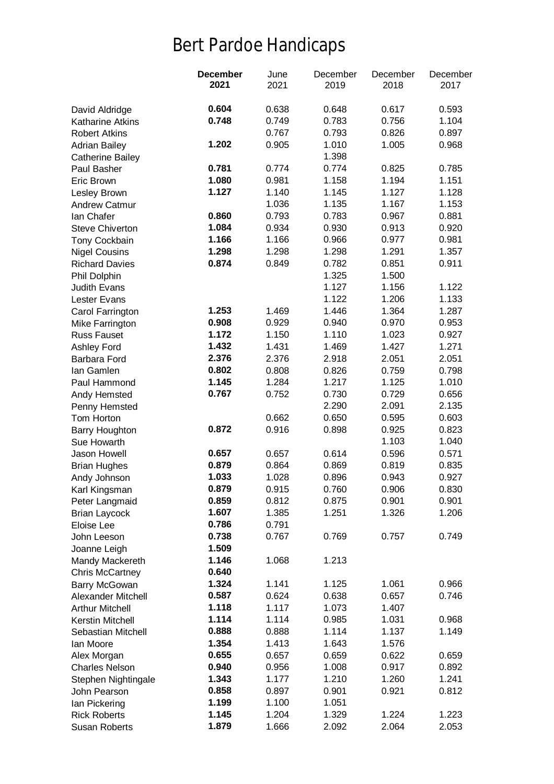## Bert Pardoe Handicaps

|                                        | <b>December</b> | June  | December       | December       | December       |
|----------------------------------------|-----------------|-------|----------------|----------------|----------------|
|                                        | 2021            | 2021  | 2019           | 2018           | 2017           |
|                                        |                 |       |                |                |                |
| David Aldridge                         | 0.604           | 0.638 | 0.648          | 0.617          | 0.593          |
| <b>Katharine Atkins</b>                | 0.748           | 0.749 | 0.783          | 0.756          | 1.104          |
| <b>Robert Atkins</b>                   |                 | 0.767 | 0.793          | 0.826          | 0.897          |
| <b>Adrian Bailey</b>                   | 1.202           | 0.905 | 1.010          | 1.005          | 0.968          |
| <b>Catherine Bailey</b>                |                 |       | 1.398          |                |                |
| Paul Basher                            | 0.781           | 0.774 | 0.774          | 0.825          | 0.785          |
| Eric Brown                             | 1.080           | 0.981 | 1.158          | 1.194          | 1.151          |
| Lesley Brown                           | 1.127           | 1.140 | 1.145          | 1.127          | 1.128          |
| <b>Andrew Catmur</b>                   |                 | 1.036 | 1.135          | 1.167          | 1.153          |
| lan Chafer                             | 0.860           | 0.793 | 0.783          | 0.967          | 0.881          |
| <b>Steve Chiverton</b>                 | 1.084           | 0.934 | 0.930          | 0.913          | 0.920          |
| Tony Cockbain                          | 1.166           | 1.166 | 0.966          | 0.977          | 0.981          |
| <b>Nigel Cousins</b>                   | 1.298           | 1.298 | 1.298          | 1.291          | 1.357          |
| <b>Richard Davies</b>                  | 0.874           | 0.849 | 0.782          | 0.851          | 0.911          |
| Phil Dolphin                           |                 |       | 1.325          | 1.500          |                |
| <b>Judith Evans</b>                    |                 |       | 1.127          | 1.156          | 1.122          |
| Lester Evans                           | 1.253           |       | 1.122          | 1.206          | 1.133          |
| Carol Farrington                       |                 | 1.469 | 1.446          | 1.364          | 1.287          |
| Mike Farrington                        | 0.908           | 0.929 | 0.940<br>1.110 | 0.970          | 0.953          |
| <b>Russ Fauset</b>                     | 1.172           | 1.150 |                | 1.023          | 0.927          |
| Ashley Ford                            | 1.432           | 1.431 | 1.469          | 1.427          | 1.271          |
| <b>Barbara Ford</b>                    | 2.376           | 2.376 | 2.918          | 2.051          | 2.051          |
| lan Gamlen                             | 0.802           | 0.808 | 0.826          | 0.759          | 0.798          |
| Paul Hammond                           | 1.145           | 1.284 | 1.217          | 1.125          | 1.010          |
| Andy Hemsted                           | 0.767           | 0.752 | 0.730          | 0.729          | 0.656          |
| Penny Hemsted                          |                 | 0.662 | 2.290          | 2.091          | 2.135          |
| Tom Horton                             | 0.872           | 0.916 | 0.650<br>0.898 | 0.595<br>0.925 | 0.603<br>0.823 |
| <b>Barry Houghton</b>                  |                 |       |                | 1.103          | 1.040          |
| Sue Howarth<br>Jason Howell            | 0.657           | 0.657 | 0.614          | 0.596          |                |
|                                        | 0.879           | 0.864 | 0.869          |                | 0.571<br>0.835 |
| <b>Brian Hughes</b>                    | 1.033           | 1.028 | 0.896          | 0.819<br>0.943 | 0.927          |
| Andy Johnson<br>Karl Kingsman          | 0.879           | 0.915 | 0.760          | 0.906          | 0.830          |
|                                        | 0.859           | 0.812 | 0.875          | 0.901          | 0.901          |
| Peter Langmaid<br><b>Brian Laycock</b> | 1.607           | 1.385 | 1.251          | 1.326          | 1.206          |
| Eloise Lee                             | 0.786           | 0.791 |                |                |                |
| John Leeson                            | 0.738           | 0.767 | 0.769          | 0.757          | 0.749          |
| Joanne Leigh                           | 1.509           |       |                |                |                |
| Mandy Mackereth                        | 1.146           | 1.068 | 1.213          |                |                |
| <b>Chris McCartney</b>                 | 0.640           |       |                |                |                |
| <b>Barry McGowan</b>                   | 1.324           | 1.141 | 1.125          | 1.061          | 0.966          |
| <b>Alexander Mitchell</b>              | 0.587           | 0.624 | 0.638          | 0.657          | 0.746          |
| <b>Arthur Mitchell</b>                 | 1.118           | 1.117 | 1.073          | 1.407          |                |
| Kerstin Mitchell                       | 1.114           | 1.114 | 0.985          | 1.031          | 0.968          |
| Sebastian Mitchell                     | 0.888           | 0.888 | 1.114          | 1.137          | 1.149          |
| lan Moore                              | 1.354           | 1.413 | 1.643          | 1.576          |                |
| Alex Morgan                            | 0.655           | 0.657 | 0.659          | 0.622          | 0.659          |
| <b>Charles Nelson</b>                  | 0.940           | 0.956 | 1.008          | 0.917          | 0.892          |
| Stephen Nightingale                    | 1.343           | 1.177 | 1.210          | 1.260          | 1.241          |
| John Pearson                           | 0.858           | 0.897 | 0.901          | 0.921          | 0.812          |
| lan Pickering                          | 1.199           | 1.100 | 1.051          |                |                |
| <b>Rick Roberts</b>                    | 1.145           | 1.204 | 1.329          | 1.224          | 1.223          |
| Susan Roberts                          | 1.879           | 1.666 | 2.092          | 2.064          | 2.053          |
|                                        |                 |       |                |                |                |